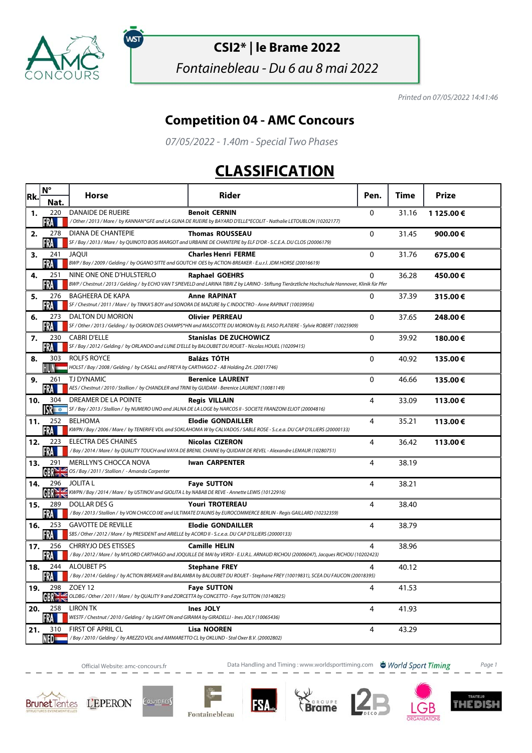

ัพรา

**CSI2\* | le Brame 2022**

Fontainebleau - Du 6 au 8 mai 2022

Printed on 07/05/2022 14:41:46

## **Competition 04 - AMC Concours**

07/05/2022 - 1.40m - Special Two Phases

## **CLASSIFICATION**

| Rk. | $N^{\circ}$              | <b>Horse</b>                                                                                                                         | <b>Rider</b>                                                                                                                                                                 | Pen.        | Time  | Prize      |
|-----|--------------------------|--------------------------------------------------------------------------------------------------------------------------------------|------------------------------------------------------------------------------------------------------------------------------------------------------------------------------|-------------|-------|------------|
|     | Nat                      |                                                                                                                                      |                                                                                                                                                                              |             |       |            |
| 1.  | 220<br>FRA               | DANAIDE DE RUEIRE                                                                                                                    | <b>Benoit CERNIN</b><br>/Other/2013/Mare/ by KANNAN*GFE and LA GUNA DE RUEIRE by BAYARD D'ELLE*ECOLIT - Nathalie LETOUBLON (10202177)                                        | 0           | 31.16 | 1 125.00 € |
| 2.  | 278<br>FRA I             | DIANA DE CHANTEPIE                                                                                                                   | <b>Thomas ROUSSEAU</b><br>SF / Bay / 2013 / Mare / by QUINOTO BOIS MARGOT and URBAINE DE CHANTEPIE by ELF D'OR - S.C.E.A. DU CLOS (20006179)                                 | 0           | 31.45 | 900.00€    |
| 3.  | 241<br>FRA               | <b>JAOUI</b>                                                                                                                         | <b>Charles Henri FERME</b><br>BWP / Bay / 2009 / Gelding / by OGANO SITTE and GOUTCHI OES by ACTION-BREAKER - E.u.r.l. JDM HORSE (20016619)                                  | $\Omega$    | 31.76 | 675.00€    |
| 4.  | 251<br>FRA               | NINE ONE ONE D'HULSTERLO                                                                                                             | <b>Raphael GOEHRS</b><br>BWP / Chestnut / 2013 / Gelding / by ECHO VAN T SPIEVELD and LARINA TIBRI Z by LARINO - Stiftung Tierärztliche Hochschule Hannover, Klinik für Pfer | 0           | 36.28 | 450.00€    |
| 5.  | 276<br>FRA M             | <b>BAGHEERA DE KAPA</b>                                                                                                              | <b>Anne RAPINAT</b><br>SF / Chestnut / 2011 / Mare / by TINKA'S BOY and SONORA DE MAZURE by C INDOCTRO - Anne RAPINAT (10039956)                                             | 0           | 37.39 | 315.00€    |
| 6.  | 273<br>FRA               | DALTON DU MORION                                                                                                                     | <b>Olivier PERREAU</b><br>SF / Other / 2013 / Gelding / by OGRION DES CHAMPS*HN and MASCOTTE DU MORION by EL PASO PLATIERE - Sylvie ROBERT (10025909)                        | $\Omega$    | 37.65 | 248.00€    |
| 7.  | 230<br>FRA III           | <b>CABRI D'ELLE</b><br>SF / Bay / 2012 / Gelding / by ORLANDO and LUNE D'ELLE by BALOUBET DU ROUET - Nicolas HOUEL (10209415)        | <b>Stanislas DE ZUCHOWICZ</b>                                                                                                                                                | $\Omega$    | 39.92 | 180.00€    |
| 8.  | 303<br>HUN —             | ROLFS ROYCE<br>HOLST / Bay / 2008 / Gelding / by CASALL and FREYA by CARTHAGO Z - AB Holding Zrt. (20017746)                         | <b>Balázs TÓTH</b>                                                                                                                                                           | $\mathbf 0$ | 40.92 | 135.00€    |
| 9.  | 261<br>FRA               | TJ DYNAMIC<br>AES / Chestnut / 2010 / Stallion / by CHANDLER and TRINI by GUIDAM - Berenice LAURENT (10081149)                       | <b>Berenice LAURENT</b>                                                                                                                                                      | 0           | 46.66 | 135.00€    |
| 10. | 304<br><b>ISR</b> TO THE | DREAMER DE LA POINTE                                                                                                                 | <b>Regis VILLAIN</b><br>SF / Bay / 2013 / Stallion / by NUMERO UNO and JALNA DE LA LOGE by NARCOS II - SOCIETE FRANZONI ELIOT (20004816)                                     | 4           | 33.09 | 113.00€    |
| 11. | 252<br><b>FRA</b>        | <b>BELHOMA</b>                                                                                                                       | <b>Elodie GONDAILLER</b><br>KWPN / Bay / 2006 / Mare / by TENERIFE VDL and SOKLAHOMA W by CALVADOS / SABLE ROSE - S.c.e.a. DU CAP D'ILLIERS (20000133)                       | 4           | 35.21 | 113.00€    |
| 12. | 223<br>FRA               | <b>ELECTRA DES CHAINES</b>                                                                                                           | <b>Nicolas CIZERON</b><br>/Bay / 2014 / Mare / by QUALITY TOUCH and VAYA DE BRENIL CHAINE by QUIDAM DE REVEL - Alexandre LEMAUR (10280751)                                   | 4           | 36.42 | 113.00€    |
| 13. | 291<br>GBRE              | <b>MERLLYN'S CHOCCA NOVA</b><br>OS / Bay / 2011 / Stallion / - Amanda Carpenter                                                      | <b>Iwan CARPENTER</b>                                                                                                                                                        | 4           | 38.19 |            |
| 14. | 296<br><b>GBR&gt;IS</b>  | <b>JOLITAL</b><br>KWPN / Bay / 2014 / Mare / by USTINOV and GIOLITA L by NABAB DE REVE - Annette LEWIS (10122916)                    | <b>Faye SUTTON</b>                                                                                                                                                           | 4           | 38.21 |            |
| 15. | 289<br>FRA M             | DOLLAR DES G                                                                                                                         | <b>Youri TROTEREAU</b><br>/Bay/2013/Stallion/ by VON CHACCO IXE and ULTIMATE D'AUNIS by EUROCOMMERCE BERLIN - Regis GAILLARD (10232359)                                      | 4           | 38.40 |            |
| 16. | 253<br><b>FRA</b>        | <b>GAVOTTE DE REVILLE</b><br>SBS / Other / 2012 / Mare / by PRESIDENT and ARIELLE by ACORD II - S.c.e.a. DU CAP D'ILLIERS (20000133) | <b>Elodie GONDAILLER</b>                                                                                                                                                     | 4           | 38.79 |            |
| 17. | 256<br>FRA               | CHRRYJO DES ETISSES                                                                                                                  | <b>Camille HELIN</b><br>/Bay / 2012 / Mare / by MYLORD CARTHAGO and JOQUILLE DE MAI by VERDI - E.U.R.L. ARNAUD RICHOU (20006047), Jacques RICHOU (10202423)                  | 4           | 38.96 |            |
| 18. | 244<br>FRA L             | <b>ALOUBET PS</b>                                                                                                                    | <b>Stephane FREY</b><br>/Bay/2014/Gelding/by ACTION BREAKER and BALAMBA by BALOUBET DU ROUET - Stephane FREY (10019831), SCEA DU FAUCON (20018395)                           | 4           | 40.12 |            |
| 19. | 298<br>GR <sub>1</sub>   | ZOEY <sub>12</sub><br>OLDBG / Other / 2011 / Mare / by QUALITY 9 and ZORCETTA by CONCETTO - Faye SUTTON (10140825)                   | <b>Faye SUTTON</b>                                                                                                                                                           | 4           | 41.53 |            |
| 20. | 258<br>FRA               | <b>LIRON TK</b><br>WESTF / Chestnut / 2010 / Gelding / by LIGHT ON and GIRAMA by GIRADELLI - Ines JOLY (10065436)                    | Ines JOLY                                                                                                                                                                    | 4           | 41.93 |            |
| 21. | NFD <del>- - -</del>     | 310 FIRST OF APRIL CL<br>/Bay / 2010 / Gelding / by AREZZO VDL and AMMARETTO CL by OKLUND - Stal Oxer B.V. (20002802)                | <b>Lisa NOOREN</b>                                                                                                                                                           | 4           | 43.29 |            |

IМ

Official Website: amc-concours.fr **Data Handling and Timing : www.worldsporttiming.com World Sport Timing** Page 1